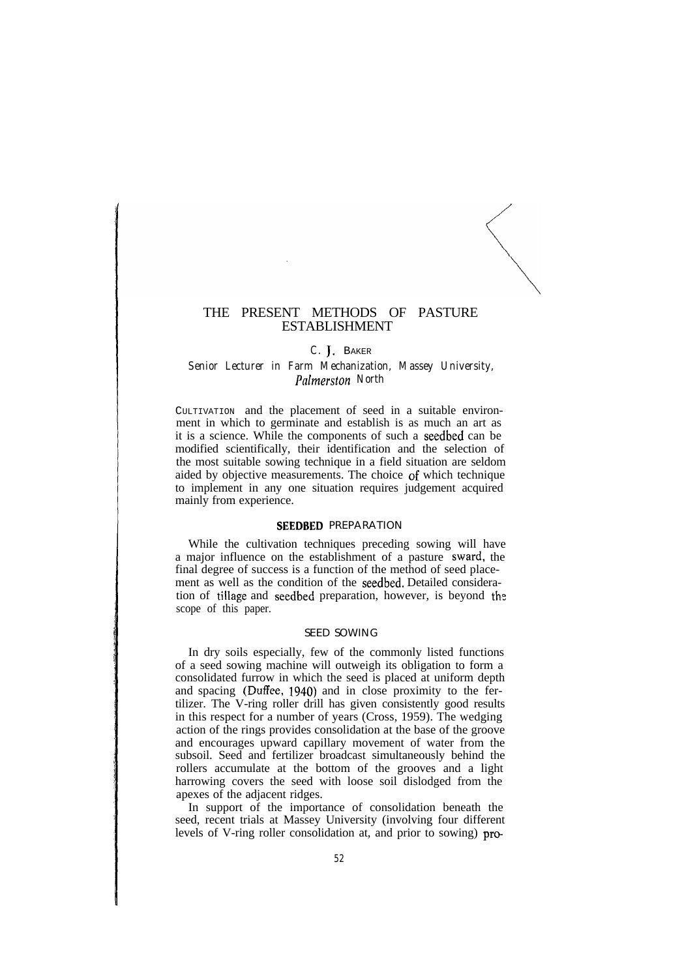## THE PRESENT METHODS OF PASTURE ESTABLISHMENT

## *C.* J, BAKER

## *Senior Lecturer in Farm Mechanization, Massey University, Palmerston North*

CULTIVATION and the placement of seed in a suitable environment in which to germinate and establish is as much an art as it is a science. While the components of such a seedbed can be modified scientifically, their identification and the selection of the most suitable sowing technique in a field situation are seldom aided by objective measurements. The choice of which technique to implement in any one situation requires judgement acquired mainly from experience.

## SEEDBED PREPARATION

While the cultivation techniques preceding sowing will have a major influence on the establishment of a pasture sward, the final degree of success is a function of the method of seed placement as well as the condition of the seedbed. Detailed consideration of tillage and seedbed preparation, however, is beyond thz scope of this paper.

### SEED SOWING

In dry soils especially, few of the commonly listed functions of a seed sowing machine will outweigh its obligation to form a consolidated furrow in which the seed is placed at uniform depth and spacing (Duffee, 1940) and in close proximity to the fertilizer. The V-ring roller drill has given consistently good results in this respect for a number of years (Cross, 1959). The wedging action of the rings provides consolidation at the base of the groove and encourages upward capillary movement of water from the subsoil. Seed and fertilizer broadcast simultaneously behind the rollers accumulate at the bottom of the grooves and a light harrowing covers the seed with loose soil dislodged from the apexes of the adjacent ridges.

In support of the importance of consolidation beneath the seed, recent trials at Massey University (involving four different levels of V-ring roller consolidation at, and prior to sowing) pro-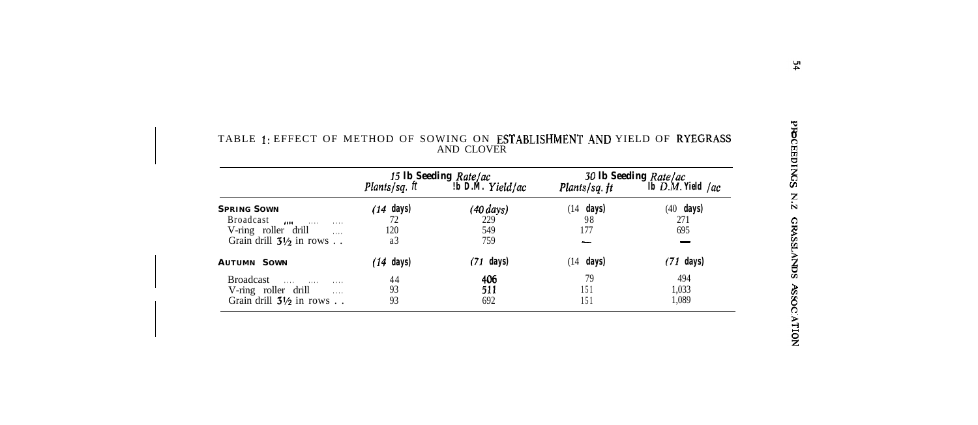|                                    | 15 Ib Seeding Rate/ac |                  | 30 Ib Seeding Rate/ac |                     |  |
|------------------------------------|-----------------------|------------------|-----------------------|---------------------|--|
|                                    | <b>Plants/sq.</b> ft  | b D.M. Yield/ac! | Plants/sq. ft         | Ib $D.M.$ Yield /ac |  |
| <b>SPRING SOWN</b>                 | days)<br>'14          | $(40 \, days)$   | days)<br>(14          | $(40$ days)         |  |
| Broadcast<br>1000<br>1.1.1         | 72                    | 229              | 98                    | 271                 |  |
| V-ring roller drill<br>$\ldots$    | 120                   | 549              | 177                   | 695                 |  |
| Grain drill $3\frac{1}{2}$ in rows | a3                    | 759              |                       |                     |  |
| <b>AUTUMN SOWN</b>                 | 14<br>days)           | (71<br>days)     | days)<br>(14          | (71 days)           |  |
| Broadcast<br>1.1.1.1               | 44                    | 406              | 79                    | 494                 |  |
| V-ring roller drill<br>$\cdots$    | 93                    | 511              | 151                   | 1,033               |  |
| Grain drill $3\frac{1}{2}$ in rows | 93                    | 692              | 151                   | 1.089               |  |

## TABLE 1: EFFECT OF METHOD OF SOWING ON **ESTABLISHMENT AND** YIELD OF **RYEGRASS**  $\frac{6}{5}$ AND CLOVER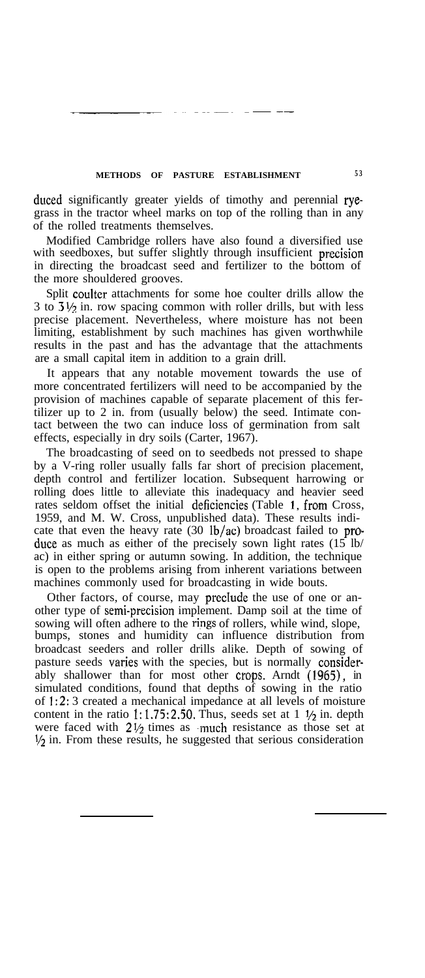## **METHODS OF PASTURE ESTABLISHMENT 5 3**

duced significantly greater yields of timothy and perennial ryegrass in the tractor wheel marks on top of the rolling than in any of the rolled treatments themselves.

Modified Cambridge rollers have also found a diversified use with seedboxes, but suffer slightly through insufficient precision in directing the broadcast seed and fertilizer to the bottom of the more shouldered grooves.

Split coulter attachments for some hoe coulter drills allow the 3 to  $3\frac{1}{2}$  in. row spacing common with roller drills, but with less precise placement. Nevertheless, where moisture has not been limiting, establishment by such machines has given worthwhile results in the past and has the advantage that the attachments are a small capital item in addition to a grain drill.

It appears that any notable movement towards the use of more concentrated fertilizers will need to be accompanied by the provision of machines capable of separate placement of this fertilizer up to 2 in. from (usually below) the seed. Intimate contact between the two can induce loss of germination from salt effects, especially in dry soils (Carter, 1967).

The broadcasting of seed on to seedbeds not pressed to shape by a V-ring roller usually falls far short of precision placement, depth control and fertilizer location. Subsequent harrowing or rolling does little to alleviate this inadequacy and heavier seed rates seldom offset the initial deficiencies (Table 1, from Cross, 1959, and M. W. Cross, unpublished data). These results indicate that even the heavy rate  $(30 \text{ lb/ac})$  broadcast failed to produce as much as either of the precisely sown light rates  $(15 \text{ lb/}$ ac) in either spring or autumn sowing. In addition, the technique is open to the problems arising from inherent variations between machines commonly used for broadcasting in wide bouts.

Other factors, of course, may preclude the use of one or another type of semi-precision implement. Damp soil at the time of sowing will often adhere to the rings of rollers, while wind, slope, bumps, stones and humidity can influence distribution from broadcast seeders and roller drills alike. Depth of sowing of pasture seeds varies with the species, but is normally considerably shallower than for most other crops. Arndt (1965), in simulated conditions, found that depths of sowing in the ratio of 1:2: 3 created a mechanical impedance at all levels of moisture content in the ratio 1:1.75:2.50. Thus, seeds set at  $1 \frac{1}{2}$  in. depth were faced with  $2\frac{1}{2}$  times as much resistance as those set at  $\frac{1}{2}$  in. From these results, he suggested that serious consideration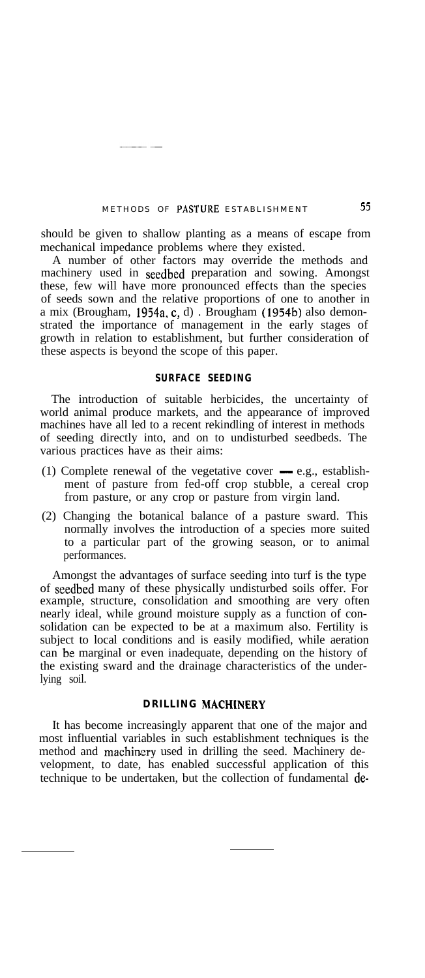## METHODS OF PASTURE ESTABLISHMENT 55

 $-1$ 

should be given to shallow planting as a means of escape from mechanical impedance problems where they existed.

A number of other factors may override the methods and machinery used in seedbed preparation and sowing. Amongst these, few will have more pronounced effects than the species of seeds sown and the relative proportions of one to another in a mix (Brougham, 1954a, c, d) . Brougham (1954b) also demonstrated the importance of management in the early stages of growth in relation to establishment, but further consideration of these aspects is beyond the scope of this paper.

#### **SURFACE SEEDING**

The introduction of suitable herbicides, the uncertainty of world animal produce markets, and the appearance of improved machines have all led to a recent rekindling of interest in methods of seeding directly into, and on to undisturbed seedbeds. The various practices have as their aims:

- (1) Complete renewal of the vegetative cover  $-$  e.g., establishment of pasture from fed-off crop stubble, a cereal crop from pasture, or any crop or pasture from virgin land.
- (2) Changing the botanical balance of a pasture sward. This normally involves the introduction of a species more suited to a particular part of the growing season, or to animal performances.

Amongst the advantages of surface seeding into turf is the type of seedbed many of these physically undisturbed soils offer. For example, structure, consolidation and smoothing are very often nearly ideal, while ground moisture supply as a function of consolidation can be expected to be at a maximum also. Fertility is subject to local conditions and is easily modified, while aeration can be marginal or even inadequate, depending on the history of the existing sward and the drainage characteristics of the underlying soil.

## **DRILLING MACHINERY**

It has become increasingly apparent that one of the major and most influential variables in such establishment techniques is the method and machinery used in drilling the seed. Machinery development, to date, has enabled successful application of this technique to be undertaken, but the collection of fundamental de-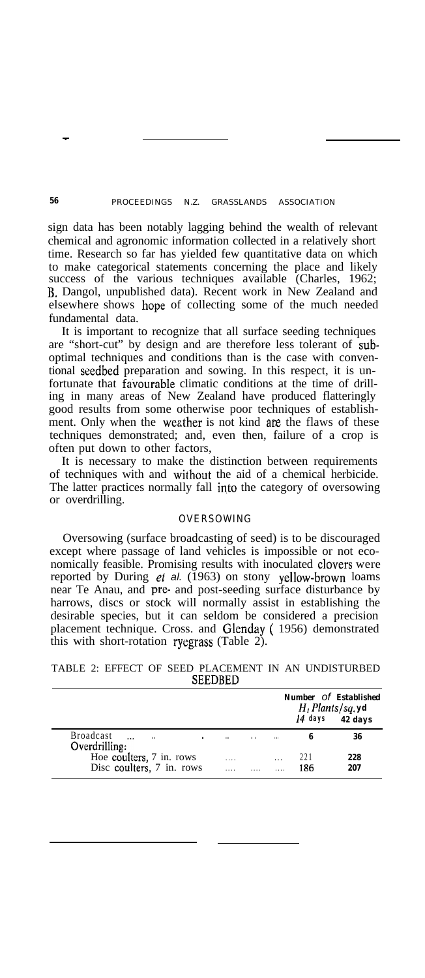## *56* PROCEEDINGS N.Z. GRASSLANDS ASSOCIATION

sign data has been notably lagging behind the wealth of relevant chemical and agronomic information collected in a relatively short time. Research so far has yielded few quantitative data on which to make categorical statements concerning the place and likely success of the various techniques available (Charles, 1962; B. Dangol, unpublished data). Recent work in New Zealand and elsewhere shows hope of collecting some of the much needed fundamental data.

It is important to recognize that all surface seeding techniques are "short-cut" by design and are therefore less tolerant of suboptimal techniques and conditions than is the case with conventional seedbed preparation and sowing. In this respect, it is unfortunate that favourable climatic conditions at the time of drilling in many areas of New Zealand have produced flatteringly good results from some otherwise poor techniques of establishment. Only when the weather is not kind are the flaws of these techniques demonstrated; and, even then, failure of a crop is often put down to other factors,

It is necessary to make the distinction between requirements of techniques with and without the aid of a chemical herbicide. The latter practices normally fall into the category of oversowing or overdrilling.

## OVERSOWING

Oversowing (surface broadcasting of seed) is to be discouraged except where passage of land vehicles is impossible or not economically feasible. Promising results with inoculated clovers were reported by During et al. (1963) on stony yellow-brown loams near Te Anau, and pre- and post-seeding surface disturbance by harrows, discs or stock will normally assist in establishing the desirable species, but it can seldom be considered a precision placement technique. Cross. and Glenday ( 1956) demonstrated this with short-rotation ryegrass (Table 2).

TABLE 2: EFFECT OF SEED PLACEMENT IN AN UNDISTURBED SEEDBED

|                                                       |           |                 |              | $H_1$ Plants/sq. yd | <b>Number</b> Of <b>Established</b><br>$14$ days $42$ days |
|-------------------------------------------------------|-----------|-----------------|--------------|---------------------|------------------------------------------------------------|
| Broadcast<br>1111<br>Overdrilling:                    |           | $\cdot$ $\cdot$ | 1111         | 6                   | 36                                                         |
| Hoe coulters, 7 in. rows<br>Disc coulters, 7 in. rows | 1.1.1<br> |                 | $\cdots$<br> | 221<br>186          | 228<br>207                                                 |

-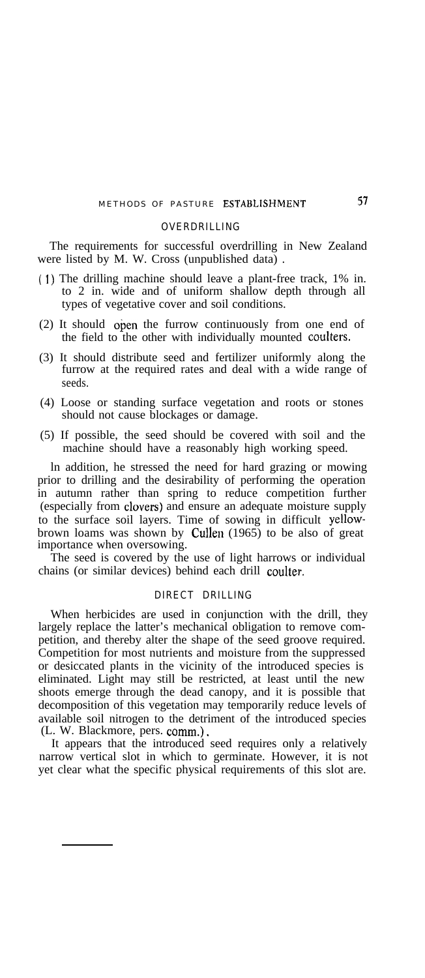# METHODS OF PASTURE ESTABLISHMENT 57

#### OVERDRILLING

The requirements for successful overdrilling in New Zealand were listed by M. W. Cross (unpublished data)

- ( 1) The drilling machine should leave a plant-free track, 1% in. to 2 in. wide and of uniform shallow depth through all types of vegetative cover and soil conditions.
- (2) It should open the furrow continuously from one end of the field to the other with individually mounted coulters.
- (3) It should distribute seed and fertilizer uniformly along the furrow at the required rates and deal with a wide range of seeds.
- (4) Loose or standing surface vegetation and roots or stones should not cause blockages or damage.
- (5) If possible, the seed should be covered with soil and the machine should have a reasonably high working speed.

ln addition, he stressed the need for hard grazing or mowing prior to drilling and the desirability of performing the operation in autumn rather than spring to reduce competition further (especially from clovers) and ensure an adequate moisture supply to the surface soil layers. Time of sowing in difficult yellowbrown loams was shown by Cullen (1965) to be also of great importance when oversowing.

The seed is covered by the use of light harrows or individual chains (or similar devices) behind each drill coulter.

## DIRECT DRILLING

When herbicides are used in conjunction with the drill, they largely replace the latter's mechanical obligation to remove competition, and thereby alter the shape of the seed groove required. Competition for most nutrients and moisture from the suppressed or desiccated plants in the vicinity of the introduced species is eliminated. Light may still be restricted, at least until the new shoots emerge through the dead canopy, and it is possible that decomposition of this vegetation may temporarily reduce levels of available soil nitrogen to the detriment of the introduced species (L. W. Blackmore, pers. comm.).

It appears that the introduced seed requires only a relatively narrow vertical slot in which to germinate. However, it is not yet clear what the specific physical requirements of this slot are.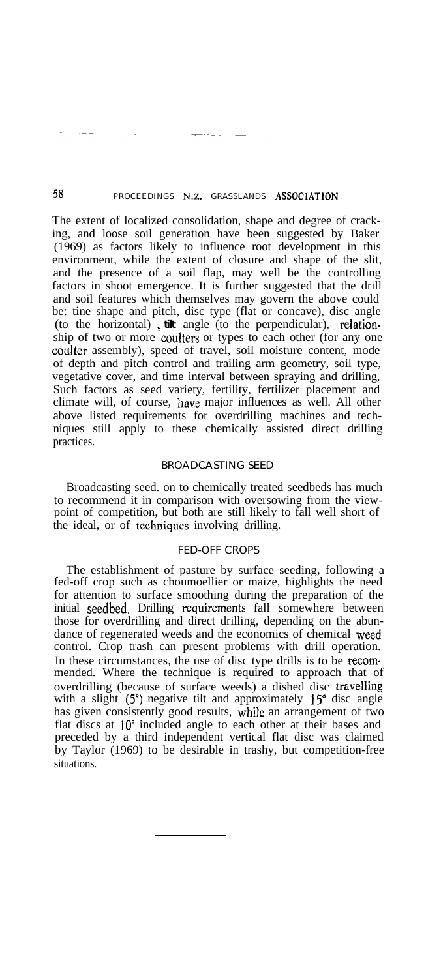# 58 PROCEEDINGS N.Z. GRASSLANDS ASSOCIATION

. . . . .

The extent of localized consolidation, shape and degree of cracking, and loose soil generation have been suggested by Baker (1969) as factors likely to influence root development in this environment, while the extent of closure and shape of the slit, and the presence of a soil flap, may well be the controlling factors in shoot emergence. It is further suggested that the drill and soil features which themselves may govern the above could be: tine shape and pitch, disc type (flat or concave), disc angle (to the horizontal), tilt angle (to the perpendicular), relationship of two or more coulters or types to each other (for any one coulter assembly), speed of travel, soil moisture content, mode of depth and pitch control and trailing arm geometry, soil type, vegetative cover, and time interval between spraying and drilling, Such factors as seed variety, fertility, fertilizer placement and climate will, of course, have major influences as well. All other above listed requirements for overdrilling machines and techniques still apply to these chemically assisted direct drilling practices.

## BROADCASTING SEED

Broadcasting seed. on to chemically treated seedbeds has much to recommend it in comparison with oversowing from the viewpoint of competition, but both are still likely to fall well short of the ideal, or of techniques involving drilling.

#### FED-OFF CROPS

The establishment of pasture by surface seeding, following a fed-off crop such as choumoellier or maize, highlights the need for attention to surface smoothing during the preparation of the initial seedbed, Drilling requirements fall somewhere between those for overdrilling and direct drilling, depending on the abundance of regenerated weeds and the economics of chemical weed control. Crop trash can present problems with drill operation. In these circumstances, the use of disc type drills is to be recommended. Where the technique is required to approach that of overdrilling (because of surface weeds) a dished disc travelling with a slight  $(5^{\circ})$  negative tilt and approximately  $15^{\circ}$  disc angle has given consistently good results, while an arrangement of two flat discs at 10° included angle to each other at their bases and preceded by a third independent vertical flat disc was claimed by Taylor (1969) to be desirable in trashy, but competition-free situations.

 $\alpha = \alpha = 1$